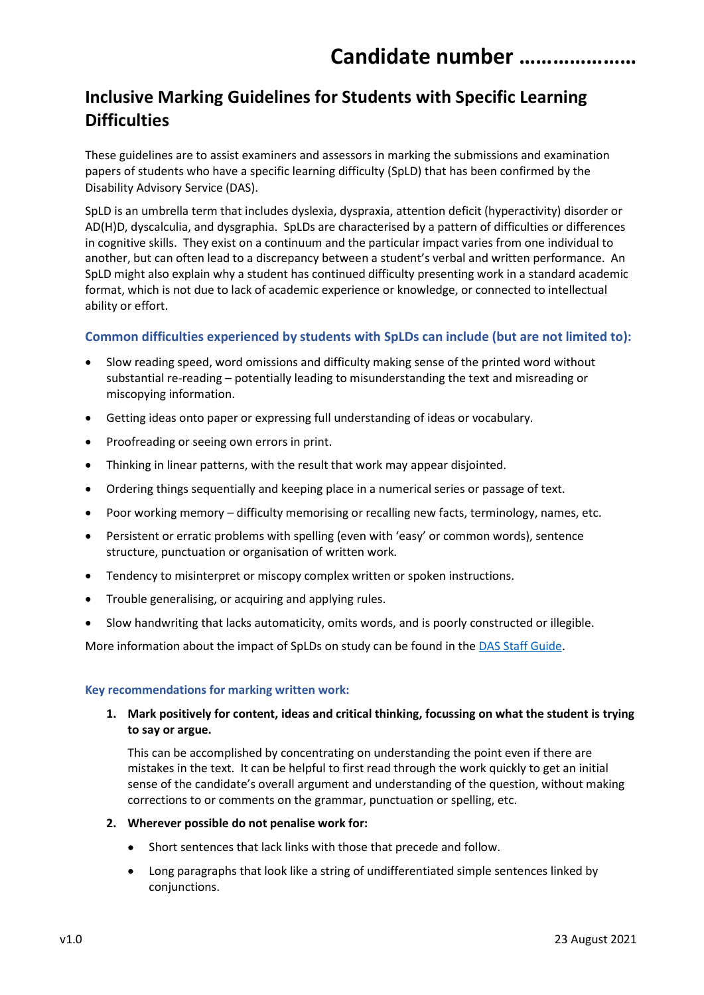## Inclusive Marking Guidelines for Students with Specific Learning **Difficulties**

These guidelines are to assist examiners and assessors in marking the submissions and examination papers of students who have a specific learning difficulty (SpLD) that has been confirmed by the Disability Advisory Service (DAS).

SpLD is an umbrella term that includes dyslexia, dyspraxia, attention deficit (hyperactivity) disorder or AD(H)D, dyscalculia, and dysgraphia. SpLDs are characterised by a pattern of difficulties or differences in cognitive skills. They exist on a continuum and the particular impact varies from one individual to another, but can often lead to a discrepancy between a student's verbal and written performance. An SpLD might also explain why a student has continued difficulty presenting work in a standard academic format, which is not due to lack of academic experience or knowledge, or connected to intellectual ability or effort.

## Common difficulties experienced by students with SpLDs can include (but are not limited to):

- Slow reading speed, word omissions and difficulty making sense of the printed word without substantial re-reading – potentially leading to misunderstanding the text and misreading or miscopying information.
- Getting ideas onto paper or expressing full understanding of ideas or vocabulary.
- Proofreading or seeing own errors in print.
- Thinking in linear patterns, with the result that work may appear disjointed.
- Ordering things sequentially and keeping place in a numerical series or passage of text.
- Poor working memory difficulty memorising or recalling new facts, terminology, names, etc.
- Persistent or erratic problems with spelling (even with 'easy' or common words), sentence structure, punctuation or organisation of written work.
- Tendency to misinterpret or miscopy complex written or spoken instructions.
- Trouble generalising, or acquiring and applying rules.
- Slow handwriting that lacks automaticity, omits words, and is poorly constructed or illegible.

More information about the impact of SpLDs on study can be found in the DAS Staff Guide.

## Key recommendations for marking written work:

1. Mark positively for content, ideas and critical thinking, focussing on what the student is trying to say or argue.

This can be accomplished by concentrating on understanding the point even if there are mistakes in the text. It can be helpful to first read through the work quickly to get an initial sense of the candidate's overall argument and understanding of the question, without making corrections to or comments on the grammar, punctuation or spelling, etc.

- 2. Wherever possible do not penalise work for:
	- Short sentences that lack links with those that precede and follow.
	- Long paragraphs that look like a string of undifferentiated simple sentences linked by conjunctions.